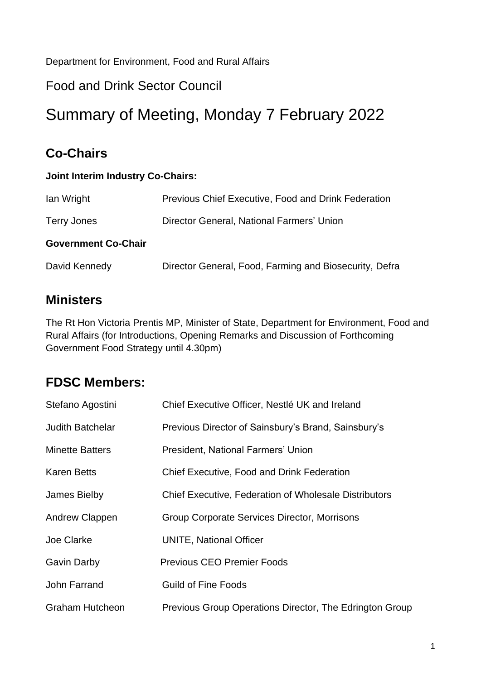Department for Environment, Food and Rural Affairs

#### Food and Drink Sector Council

# Summary of Meeting, Monday 7 February 2022

# **Co-Chairs**

#### **Joint Interim Industry Co-Chairs:**

| lan Wright                 | <b>Previous Chief Executive, Food and Drink Federation</b> |
|----------------------------|------------------------------------------------------------|
| Terry Jones                | Director General, National Farmers' Union                  |
| <b>Government Co-Chair</b> |                                                            |
| David Kennedy              | Director General, Food, Farming and Biosecurity, Defra     |

#### **Ministers**

The Rt Hon Victoria Prentis MP, Minister of State, Department for Environment, Food and Rural Affairs (for Introductions, Opening Remarks and Discussion of Forthcoming Government Food Strategy until 4.30pm)

#### **FDSC Members:**

| Stefano Agostini        | Chief Executive Officer, Nestlé UK and Ireland               |
|-------------------------|--------------------------------------------------------------|
| <b>Judith Batchelar</b> | Previous Director of Sainsbury's Brand, Sainsbury's          |
| <b>Minette Batters</b>  | President, National Farmers' Union                           |
| <b>Karen Betts</b>      | Chief Executive, Food and Drink Federation                   |
| James Bielby            | <b>Chief Executive, Federation of Wholesale Distributors</b> |
| <b>Andrew Clappen</b>   | Group Corporate Services Director, Morrisons                 |
| Joe Clarke              | <b>UNITE, National Officer</b>                               |
| <b>Gavin Darby</b>      | <b>Previous CEO Premier Foods</b>                            |
| John Farrand            | <b>Guild of Fine Foods</b>                                   |
| <b>Graham Hutcheon</b>  | Previous Group Operations Director, The Edrington Group      |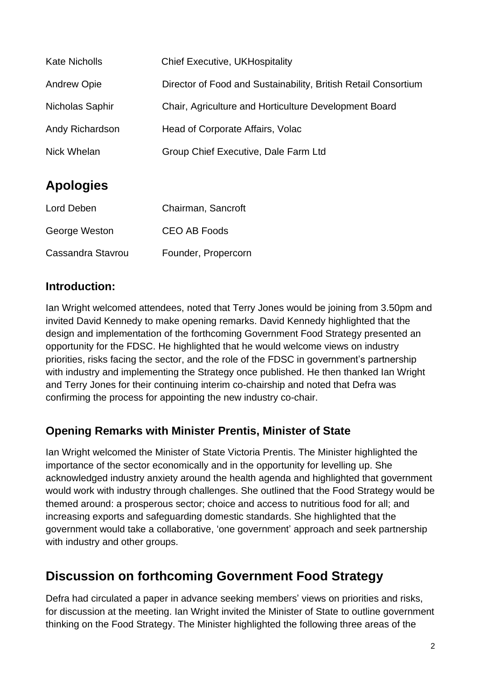| <b>Kate Nicholls</b> | <b>Chief Executive, UKHospitality</b>                          |
|----------------------|----------------------------------------------------------------|
| <b>Andrew Opie</b>   | Director of Food and Sustainability, British Retail Consortium |
| Nicholas Saphir      | Chair, Agriculture and Horticulture Development Board          |
| Andy Richardson      | Head of Corporate Affairs, Volac                               |
| Nick Whelan          | Group Chief Executive, Dale Farm Ltd                           |

# **Apologies**

| Lord Deben        | Chairman, Sancroft  |
|-------------------|---------------------|
| George Weston     | <b>CEO AB Foods</b> |
| Cassandra Stavrou | Founder, Propercorn |

#### **Introduction:**

Ian Wright welcomed attendees, noted that Terry Jones would be joining from 3.50pm and invited David Kennedy to make opening remarks. David Kennedy highlighted that the design and implementation of the forthcoming Government Food Strategy presented an opportunity for the FDSC. He highlighted that he would welcome views on industry priorities, risks facing the sector, and the role of the FDSC in government's partnership with industry and implementing the Strategy once published. He then thanked Ian Wright and Terry Jones for their continuing interim co-chairship and noted that Defra was confirming the process for appointing the new industry co-chair.

#### **Opening Remarks with Minister Prentis, Minister of State**

Ian Wright welcomed the Minister of State Victoria Prentis. The Minister highlighted the importance of the sector economically and in the opportunity for levelling up. She acknowledged industry anxiety around the health agenda and highlighted that government would work with industry through challenges. She outlined that the Food Strategy would be themed around: a prosperous sector; choice and access to nutritious food for all; and increasing exports and safeguarding domestic standards. She highlighted that the government would take a collaborative, 'one government' approach and seek partnership with industry and other groups.

### **Discussion on forthcoming Government Food Strategy**

Defra had circulated a paper in advance seeking members' views on priorities and risks, for discussion at the meeting. Ian Wright invited the Minister of State to outline government thinking on the Food Strategy. The Minister highlighted the following three areas of the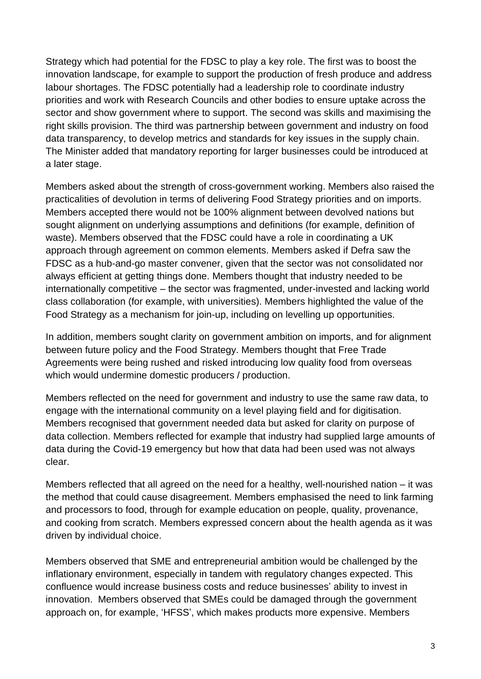Strategy which had potential for the FDSC to play a key role. The first was to boost the innovation landscape, for example to support the production of fresh produce and address labour shortages. The FDSC potentially had a leadership role to coordinate industry priorities and work with Research Councils and other bodies to ensure uptake across the sector and show government where to support. The second was skills and maximising the right skills provision. The third was partnership between government and industry on food data transparency, to develop metrics and standards for key issues in the supply chain. The Minister added that mandatory reporting for larger businesses could be introduced at a later stage.

Members asked about the strength of cross-government working. Members also raised the practicalities of devolution in terms of delivering Food Strategy priorities and on imports. Members accepted there would not be 100% alignment between devolved nations but sought alignment on underlying assumptions and definitions (for example, definition of waste). Members observed that the FDSC could have a role in coordinating a UK approach through agreement on common elements. Members asked if Defra saw the FDSC as a hub-and-go master convener, given that the sector was not consolidated nor always efficient at getting things done. Members thought that industry needed to be internationally competitive – the sector was fragmented, under-invested and lacking world class collaboration (for example, with universities). Members highlighted the value of the Food Strategy as a mechanism for join-up, including on levelling up opportunities.

In addition, members sought clarity on government ambition on imports, and for alignment between future policy and the Food Strategy. Members thought that Free Trade Agreements were being rushed and risked introducing low quality food from overseas which would undermine domestic producers / production.

Members reflected on the need for government and industry to use the same raw data, to engage with the international community on a level playing field and for digitisation. Members recognised that government needed data but asked for clarity on purpose of data collection. Members reflected for example that industry had supplied large amounts of data during the Covid-19 emergency but how that data had been used was not always clear.

Members reflected that all agreed on the need for a healthy, well-nourished nation – it was the method that could cause disagreement. Members emphasised the need to link farming and processors to food, through for example education on people, quality, provenance, and cooking from scratch. Members expressed concern about the health agenda as it was driven by individual choice.

Members observed that SME and entrepreneurial ambition would be challenged by the inflationary environment, especially in tandem with regulatory changes expected. This confluence would increase business costs and reduce businesses' ability to invest in innovation. Members observed that SMEs could be damaged through the government approach on, for example, 'HFSS', which makes products more expensive. Members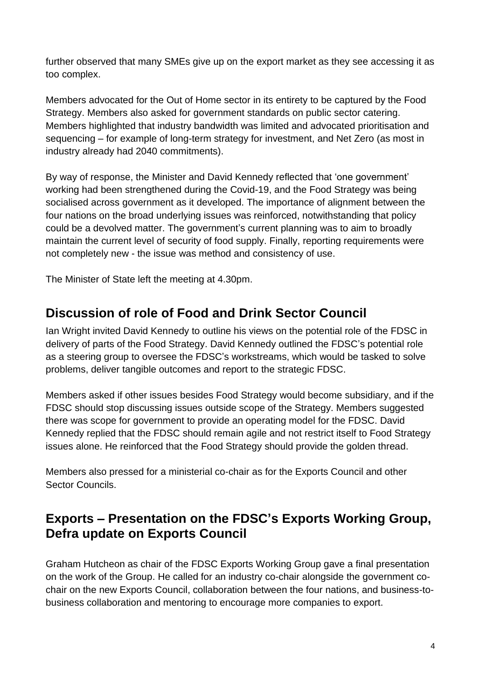further observed that many SMEs give up on the export market as they see accessing it as too complex.

Members advocated for the Out of Home sector in its entirety to be captured by the Food Strategy. Members also asked for government standards on public sector catering. Members highlighted that industry bandwidth was limited and advocated prioritisation and sequencing – for example of long-term strategy for investment, and Net Zero (as most in industry already had 2040 commitments).

By way of response, the Minister and David Kennedy reflected that 'one government' working had been strengthened during the Covid-19, and the Food Strategy was being socialised across government as it developed. The importance of alignment between the four nations on the broad underlying issues was reinforced, notwithstanding that policy could be a devolved matter. The government's current planning was to aim to broadly maintain the current level of security of food supply. Finally, reporting requirements were not completely new - the issue was method and consistency of use.

The Minister of State left the meeting at 4.30pm.

#### **Discussion of role of Food and Drink Sector Council**

Ian Wright invited David Kennedy to outline his views on the potential role of the FDSC in delivery of parts of the Food Strategy. David Kennedy outlined the FDSC's potential role as a steering group to oversee the FDSC's workstreams, which would be tasked to solve problems, deliver tangible outcomes and report to the strategic FDSC.

Members asked if other issues besides Food Strategy would become subsidiary, and if the FDSC should stop discussing issues outside scope of the Strategy. Members suggested there was scope for government to provide an operating model for the FDSC. David Kennedy replied that the FDSC should remain agile and not restrict itself to Food Strategy issues alone. He reinforced that the Food Strategy should provide the golden thread.

Members also pressed for a ministerial co-chair as for the Exports Council and other Sector Councils.

#### **Exports – Presentation on the FDSC's Exports Working Group, Defra update on Exports Council**

Graham Hutcheon as chair of the FDSC Exports Working Group gave a final presentation on the work of the Group. He called for an industry co-chair alongside the government cochair on the new Exports Council, collaboration between the four nations, and business-tobusiness collaboration and mentoring to encourage more companies to export.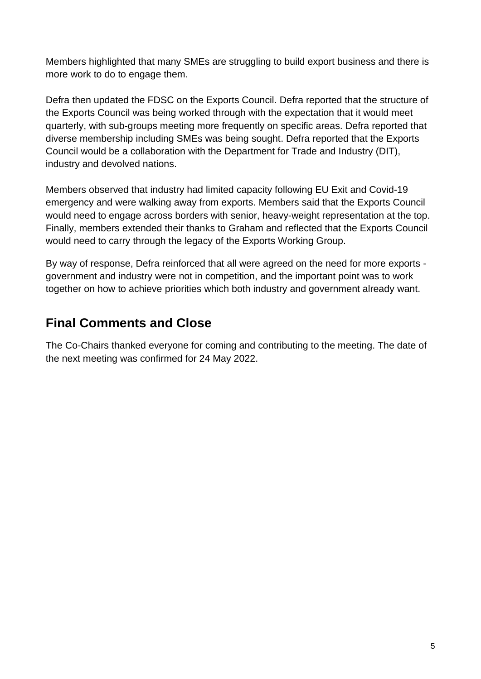Members highlighted that many SMEs are struggling to build export business and there is more work to do to engage them.

Defra then updated the FDSC on the Exports Council. Defra reported that the structure of the Exports Council was being worked through with the expectation that it would meet quarterly, with sub-groups meeting more frequently on specific areas. Defra reported that diverse membership including SMEs was being sought. Defra reported that the Exports Council would be a collaboration with the Department for Trade and Industry (DIT), industry and devolved nations.

Members observed that industry had limited capacity following EU Exit and Covid-19 emergency and were walking away from exports. Members said that the Exports Council would need to engage across borders with senior, heavy-weight representation at the top. Finally, members extended their thanks to Graham and reflected that the Exports Council would need to carry through the legacy of the Exports Working Group.

By way of response, Defra reinforced that all were agreed on the need for more exports government and industry were not in competition, and the important point was to work together on how to achieve priorities which both industry and government already want.

### **Final Comments and Close**

The Co-Chairs thanked everyone for coming and contributing to the meeting. The date of the next meeting was confirmed for 24 May 2022.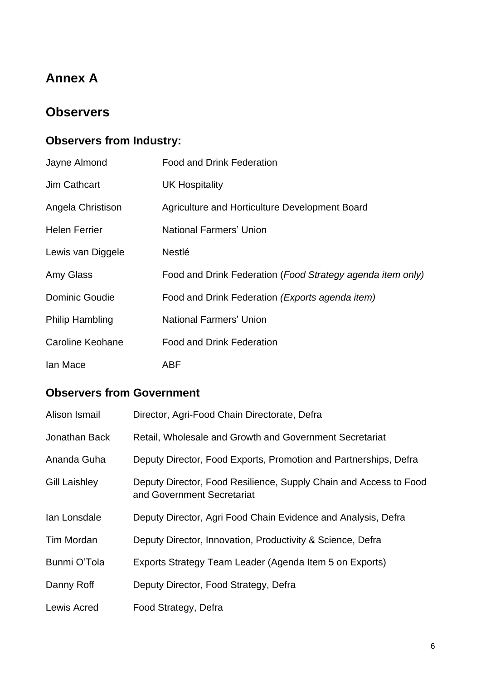# **Annex A**

#### **Observers**

# **Observers from Industry:**

| Jayne Almond           | <b>Food and Drink Federation</b>                           |
|------------------------|------------------------------------------------------------|
| <b>Jim Cathcart</b>    | <b>UK Hospitality</b>                                      |
| Angela Christison      | Agriculture and Horticulture Development Board             |
| <b>Helen Ferrier</b>   | <b>National Farmers' Union</b>                             |
| Lewis van Diggele      | <b>Nestlé</b>                                              |
| Amy Glass              | Food and Drink Federation (Food Strategy agenda item only) |
| <b>Dominic Goudie</b>  | Food and Drink Federation (Exports agenda item)            |
| <b>Philip Hambling</b> | <b>National Farmers' Union</b>                             |
| Caroline Keohane       | <b>Food and Drink Federation</b>                           |
| lan Mace               | ABF                                                        |

#### **Observers from Government**

| Alison Ismail        | Director, Agri-Food Chain Directorate, Defra                                                    |
|----------------------|-------------------------------------------------------------------------------------------------|
| Jonathan Back        | Retail, Wholesale and Growth and Government Secretariat                                         |
| Ananda Guha          | Deputy Director, Food Exports, Promotion and Partnerships, Defra                                |
| <b>Gill Laishley</b> | Deputy Director, Food Resilience, Supply Chain and Access to Food<br>and Government Secretariat |
| Ian Lonsdale         | Deputy Director, Agri Food Chain Evidence and Analysis, Defra                                   |
| Tim Mordan           | Deputy Director, Innovation, Productivity & Science, Defra                                      |
| Bunmi O'Tola         | Exports Strategy Team Leader (Agenda Item 5 on Exports)                                         |
| Danny Roff           | Deputy Director, Food Strategy, Defra                                                           |
| <b>Lewis Acred</b>   | Food Strategy, Defra                                                                            |